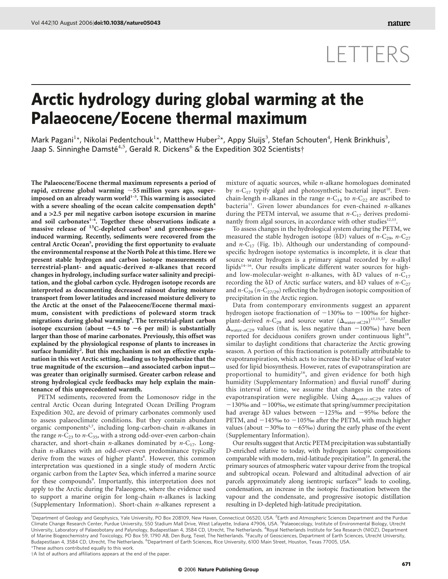## LETTERS

## Arctic hydrology during global warming at the Palaeocene/Eocene thermal maximum

Mark Pagani<sup>1\*</sup>, Nikolai Pedentchouk<sup>1\*</sup>, Matthew Huber<sup>2\*</sup>, Appy Sluijs<sup>3</sup>, Stefan Schouten<sup>4</sup>, Henk Brinkhuis<sup>3</sup>, Jaap S. Sinninghe Damsté<sup>4,5</sup>, Gerald R. Dickens<sup>6</sup> & the Expedition 302 Scientists†

The Palaeocene/Eocene thermal maximum represents a period of rapid, extreme global warming  $\sim$  55 million years ago, superimposed on an already warm world $1-3$ . This warming is associated with a severe shoaling of the ocean calcite compensation depth<sup>4</sup> and a *>*2.5 per mil negative carbon isotope excursion in marine and soil carbonates $1-4$ . Together these observations indicate a massive release of  $^{13}$ C-depleted carbon<sup>4</sup> and greenhouse-gasinduced warming. Recently, sediments were recovered from the central Arctic Ocean<sup>5</sup>, providing the first opportunity to evaluate the environmental response at the North Pole at this time. Here we present stable hydrogen and carbon isotope measurements of terrestrial-plant- and aquatic-derived *n*-alkanes that record changes in hydrology, including surface water salinity and precipitation, and the global carbon cycle. Hydrogen isotope records are interpreted as documenting decreased rainout during moisture transport from lower latitudes and increased moisture delivery to the Arctic at the onset of the Palaeocene/Eocene thermal maximum, consistent with predictions of poleward storm track migrations during global warming<sup>6</sup>. The terrestrial-plant carbon isotope excursion (about  $-4.5$  to  $-6$  per mil) is substantially larger than those of marine carbonates. Previously, this offset was explained by the physiological response of plants to increases in surface humidity<sup>2</sup>. But this mechanism is not an effective explanation in this wet Arctic setting, leading us to hypothesize that the true magnitude of the excursion—and associated carbon input was greater than originally surmised. Greater carbon release and strong hydrological cycle feedbacks may help explain the maintenance of this unprecedented warmth.

PETM sediments, recovered from the Lomonosov ridge in the central Arctic Ocean during Integrated Ocean Drilling Program Expedition 302, are devoid of primary carbonates commonly used to assess palaeoclimate conditions. But they contain abundant organic components<sup>5,7</sup>, including long-carbon-chain  $n$ -alkanes in the range  $n-C_{23}$  to  $n-C_{35}$ , with a strong odd-over-even carbon-chain character, and short-chain *n*-alkanes dominated by  $n-C_{17}$ . Longchain n-alkanes with an odd-over-even predominance typically derive from the waxes of higher plants<sup>8</sup>. However, this common interpretation was questioned in a single study of modern Arctic organic carbon from the Laptev Sea, which inferred a marine source for these compounds<sup>9</sup>. Importantly, this interpretation does not apply to the Arctic during the Palaeogene, where the evidence used to support a marine origin for long-chain n-alkanes is lacking (Supplementary Information). Short-chain n-alkanes represent a mixture of aquatic sources, while  $n$ -alkane homologues dominated by  $n-C_{17}$  typify algal and photosynthetic bacterial input<sup>10</sup>. Evenchain-length *n*-alkanes in the range *n*-C<sub>14</sub> to *n*-C<sub>22</sub> are ascribed to bacteria<sup>11</sup>. Given lower abundances for even-chained *n*-alkanes during the PETM interval, we assume that  $n-C_{17}$  derives predominantly from algal sources, in accordance with other studies<sup>12,13</sup>.

To assess changes in the hydrological system during the PETM, we measured the stable hydrogen isotope ( $\delta$ D) values of *n*-C<sub>29</sub>, *n*-C<sub>27</sub> and  $n-C_{17}$  (Fig. 1b). Although our understanding of compoundspecific hydrogen isotope systematics is incomplete, it is clear that source water hydrogen is a primary signal recorded by  $n$ -alkyl lipids<sup>14–16</sup>. Our results implicate different water sources for highand low-molecular-weight *n*-alkanes, with  $\delta D$  values of *n*-C<sub>17</sub> recording the  $\delta$ D of Arctic surface waters, and  $\delta$ D values of n-C<sub>27</sub> and  $n-C_{29}$  ( $n-C_{27/29}$ ) reflecting the hydrogen isotopic composition of precipitation in the Arctic region.

Data from contemporary environments suggest an apparent hydrogen isotope fractionation of  $-130%$  to  $-100%$  for higherplant-derived *n*-C<sub>29</sub> and source water  $(\Delta_{\text{water}-nC29})^{13,15,17}$ . Smaller  $\Delta_{\text{water}-nC29}$  values (that is, less negative than  $-100\%$ ) have been reported for deciduous conifers grown under continuous light<sup>18</sup>, similar to daylight conditions that characterize the Arctic growing season. A portion of this fractionation is potentially attributable to evapotranspiration, which acts to increase the  $\delta D$  value of leaf water used for lipid biosynthesis. However, rates of evapotranspiration are proportional to humidity<sup>16</sup>, and given evidence for both high humidity (Supplementary Information) and fluvial runoff<sup>7</sup> during this interval of time, we assume that changes in the rates of evapotranspiration were negligible. Using  $\Delta_{\text{water-}nC29}$  values of  $-130\%$  and  $-100\%$ , we estimate that spring/summer precipitation had average  $\delta$ D values between  $-125\%$  and  $-95\%$  before the PETM, and  $-145%$  to  $-105%$  after the PETM, with much higher values (about  $-30\%$  to  $-65\%$ ) during the early phase of the event (Supplementary Information).

Our results suggest that Arctic PETM precipitation was substantially D-enriched relative to today, with hydrogen isotopic compositions comparable with modern, mid-latitude precipitation<sup>19</sup>. In general, the primary sources of atmospheric water vapour derive from the tropical and subtropical ocean. Poleward and altitudinal advection of air parcels approximately along isentropic surfaces<sup>20</sup> leads to cooling, condensation, an increase in the isotopic fractionation between the vapour and the condensate, and progressive isotopic distillation resulting in D-depleted high-latitude precipitation.

†A list of authors and affiliations appears at the end of the paper.

<sup>&</sup>lt;sup>1</sup>Department of Geology and Geophysics, Yale University, PO Box 208109, New Haven, Connecticut 06520, USA. <sup>2</sup>Earth and Atmospheric Sciences Department and the Purdue Climate Change Research Center, Purdue University, 550 Stadium Mall Drive, West Lafayette, Indiana 47906, USA. <sup>3</sup>Palaeoecology, Institute of Environmental Biology, Utrecht University, Laboratory of Palaeobotany and Palynology, Budapestlaan 4, 3584 CD, Utrecht, The Netherlands. <sup>4</sup>Royal Netherlands Institute for Sea Research (NIOZ), Department of Marine Biogeochemistry and Toxicology, PO Box 59, 1790 AB, Den Burg, Texel, The Netherlands. <sup>5</sup>Faculty of Geosciences, Department of Earth Sciences, Utrecht University, Budapestlaan 4, 3584 CD, Utrecht, The Netherlands. <sup>6</sup>Department of Earth Sciences, Rice University, 6100 Main Street, Houston, Texas 77005, USA. \*These authors contributed equally to this work.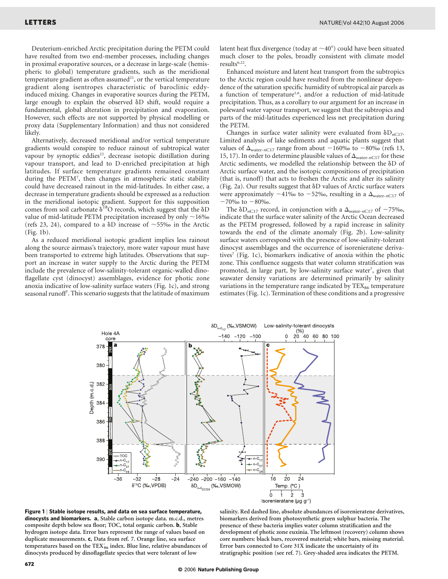Deuterium-enriched Arctic precipitation during the PETM could have resulted from two end-member processes, including changes in proximal evaporative sources, or a decrease in large-scale (hemispheric to global) temperature gradients, such as the meridional temperature gradient as often assumed $21$ , or the vertical temperature gradient along isentropes characteristic of baroclinic eddyinduced mixing. Changes in evaporative sources during the PETM, large enough to explain the observed  $\delta D$  shift, would require a fundamental, global alteration in precipitation and evaporation. However, such effects are not supported by physical modelling or proxy data (Supplementary Information) and thus not considered likely.

Alternatively, decreased meridional and/or vertical temperature gradients would conspire to reduce rainout of subtropical water vapour by synoptic eddies<sup>22</sup>, decrease isotopic distillation during vapour transport, and lead to D-enriched precipitation at high latitudes. If surface temperature gradients remained constant during the PETM<sup>7</sup> , then changes in atmospheric static stability could have decreased rainout in the mid-latitudes. In either case, a decrease in temperature gradients should be expressed as a reduction in the meridional isotopic gradient. Support for this supposition comes from soil carbonate  $\delta^{18}O$  records, which suggest that the  $\delta D$ value of mid-latitude PETM precipitation increased by only  $\sim$  16‰ (refs 23, 24), compared to a  $\delta$ D increase of  $\sim$  55‰ in the Arctic (Fig. 1b).

As a reduced meridional isotopic gradient implies less rainout along the source airmass's trajectory, more water vapour must have been transported to extreme high latitudes. Observations that support an increase in water supply to the Arctic during the PETM include the prevalence of low-salinity-tolerant organic-walled dinoflagellate cyst (dinocyst) assemblages, evidence for photic zone anoxia indicative of low-salinity surface waters (Fig. 1c), and strong seasonal runoff<sup>7</sup>. This scenario suggests that the latitude of maximum

latent heat flux divergence (today at  $\sim$ 40°) could have been situated much closer to the poles, broadly consistent with climate model results $6,22$ .

Enhanced moisture and latent heat transport from the subtropics to the Arctic region could have resulted from the nonlinear dependence of the saturation specific humidity of subtropical air parcels as a function of temperature<sup>1,6</sup>, and/or a reduction of mid-latitude precipitation. Thus, as a corollary to our argument for an increase in poleward water vapour transport, we suggest that the subtropics and parts of the mid-latitudes experienced less net precipitation during the PETM.

Changes in surface water salinity were evaluated from  $\delta D_{nC17}$ . Limited analysis of lake sediments and aquatic plants suggest that values of  $\Delta_{\text{water-}nCl7}$  range from about  $-160\%$  to  $-80\%$  (refs 13, 15, 17). In order to determine plausible values of  $\Delta_{\text{water-}nCI7}$  for these Arctic sediments, we modelled the relationship between the  $\delta D$  of Arctic surface water, and the isotopic compositions of precipitation (that is, runoff) that acts to freshen the Arctic and alter its salinity (Fig. 2a). Our results suggest that  $\delta$ D values of Arctic surface waters were approximately  $-41\%$  to  $-52\%$ , resulting in a  $\Delta_{\text{water-}nCI7}$  of  $-70\%$  to  $-80\%$ .

The  $\delta D_{nC17}$  record, in conjunction with a  $\Delta_{\text{water}-nC17}$  of  $-75\%$ , indicate that the surface water salinity of the Arctic Ocean decreased as the PETM progressed, followed by a rapid increase in salinity towards the end of the climate anomaly (Fig. 2b). Low-salinity surface waters correspond with the presence of low-salinity-tolerant dinocyst assemblages and the occurrence of isorenieratene derivatives<sup>7</sup> (Fig. 1c), biomarkers indicative of anoxia within the photic zone. This confluence suggests that water column stratification was promoted, in large part, by low-salinity surface water<sup>7</sup>, given that seawater density variations are determined primarily by salinity variations in the temperature range indicated by  $\text{TEX}_{86}$  temperature estimates (Fig. 1c). Termination of these conditions and a progressive





salinity. Red dashed line, absolute abundances of isorenieratene derivatives, biomarkers derived from photosynthetic green sulphur bacteria. The presence of these bacteria implies water column stratification and the development of photic zone euxinia. The leftmost (recovery) column shows core numbers: black bars, recovered material; white bars, missing material. Error bars connected to Core 31X indicate the uncertainty of its stratigraphic position (see ref. 7). Grey-shaded area indicates the PETM.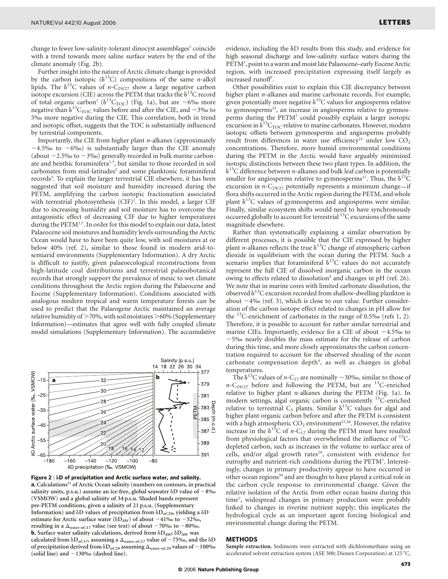change to fewer low-salinity-tolerant dinocyst assemblages<sup>7</sup> coincide with a trend towards more saline surface waters by the end of the climate anomaly (Fig. 2b).

Further insight into the nature of Arctic climate change is provided by the carbon isotopic ( $\delta^{13}$ C) compositions of the same *n*-alkyl lipids. The  $\delta^{13}$ C values of *n*-C<sub>29/27</sub> show a large negative carbon isotope excursion (CIE) across the PETM that tracks the  $\delta^{13}$ C record of total organic carbon<sup>7</sup> ( $\delta^{13}C_{\text{TOC}}$ ) (Fig. 1a), but are ~6‰ more negative than  $\delta^{13}C_{\text{TOC}}$  values before and after the CIE, and  $\sim$ 3‰ to 5‰ more negative during the CIE. This correlation, both in trend and isotopic offset, suggests that the TOC is substantially influenced by terrestrial components.

Importantly, the CIE from higher plant  $n$ -alkanes (approximately  $-4.5\%$  to  $-6\%$ ) is substantially larger than the CIE anomaly (about  $-2.5%$  to  $-3%$ ) generally recorded in bulk marine carbonate and benthic foraminifera<sup>1,3</sup>, but similar to those recorded in soil carbonates from mid-latitudes<sup>2</sup> and some planktonic foraminiferal records<sup>3</sup>. To explain the larger terrestrial CIE elsewhere, it has been suggested that soil moisture and humidity increased during the PETM, amplifying the carbon isotopic fractionation associated with terrestrial photosynthesis (CIF)<sup>2</sup>. In this model, a larger CIF due to increasing humidity and soil moisture has to overcome the antagonistic effect of decreasing CIF due to higher temperatures during the  $PETM<sup>2,7</sup>$ . In order for this model to explain our data, latest Palaeocene soil moistures and humidity levels surrounding the Arctic Ocean would have to have been quite low, with soil moistures at or below 40% (ref. 2), similar to those found in modern arid-tosemiarid environments (Supplementary Information). A dry Arctic is difficult to justify, given palaeoecological reconstructions from high-latitude coal distributions and terrestrial palaeobotanical records that strongly support the prevalence of mesic to wet climate conditions throughout the Arctic region during the Palaeocene and Eocene (Supplementary Information). Conditions associated with analogous modern tropical and warm temperature forests can be used to predict that the Palaeogene Arctic maintained an average relative humidity of  $>70\%$ , with soil moistures  $>60\%$  (Supplementary Information)—estimates that agree well with fully coupled climate model simulations (Supplementary Information). The accumulative



Figure 2 | *d*D of precipitation and Arctic surface water, and salinity.  $a$ , Calculations<sup>31</sup> of Arctic Ocean salinity (numbers on contours, in practical salinity units, p.s.u.) assume an ice-free, global seawater  $\delta$ D value of  $-8\%$ (VSMOW) and a global salinity of 34 p.s.u. Shaded bands represent pre-PETM conditions, given a salinity of 21 p.s.u. (Supplementary Information) and  $\delta$ D values of precipitation from  $\delta$ D<sub>nC29</sub>, yielding a  $\delta$ D estimate for Arctic surface water ( $\delta D_{AW}$ ) of about  $-41\%$  to  $-52\%$ , resulting in a  $\Delta_{\text{water-}nCI7}$  value (see text) of about -70‰ to -80‰. **b**, Surface water salinity calculations, derived from  $\delta D_{AW}$ ;  $\delta D_{AW}$  was calculated from  $\delta D_{nC17}$ , assuming a  $\Delta_{\text{water}-nC17}$  value of  $-75\%$ , and the  $\delta D$ of precipitation derived from  $\delta \mathcal{D}_{nC29}$  assuming  $\Delta_{\text{water-}nC29}$  values of  $-100\%$ (solid line) and  $-130%$  (dashed line).

evidence, including the  $\delta$ D results from this study, and evidence for high seasonal discharge and low-salinity surface waters during the PETM<sup>7</sup>, point to a warm and moist late Palaeocene-early Eocene Arctic region, with increased precipitation expressing itself largely as increased runoff<sup>7</sup>.

Other possibilities exist to explain this CIE discrepancy between higher plant *n*-alkanes and marine carbonate records. For example, given potentially more negative  $\delta^{13}$ C values for angiosperms relative to gymnosperms<sup>25</sup>, an increase in angiosperms relative to gymnosperms during the PETM7 could possibly explain a larger isotopic excursion in  $\delta^{13}C_{\text{TOC}}$  relative to marine carbonates. However, modern isotopic offsets between gymnosperms and angiosperms probably result from differences in water use efficiency<sup>25</sup> under low  $CO<sub>2</sub>$ concentrations. Therefore, more humid environmental conditions during the PETM in the Arctic would have arguably minimized isotopic distinctions between these two plant types. In addition, the  $\delta^{13}$ C difference between *n*-alkanes and bulk leaf carbon is potentially smaller for angiosperms relative to gymnosperms<sup>17</sup>. Thus, the  $\delta^{13}C$ excursion in  $n-C_{29/27}$  potentially represents a minimum change—if flora shifts occurred in the Arctic region during the PETM, and whole plant  $\delta^{13}$ C values of gymnosperms and angiosperms were similar. Finally, similar ecosystem shifts would need to have synchronously occurred globally to account for terrestrial <sup>13</sup>C excursions of the same magnitude elsewhere.

Rather than systematically explaining a similar observation by different processes, it is possible that the CIE expressed by higher plant *n*-alkanes reflects the true  $\delta^{13}$ C change of atmospheric carbon dioxide in equilibrium with the ocean during the PETM. Such a scenario implies that foraminiferal  $\delta^{13}$ C values do not accurately represent the full CIE of dissolved inorganic carbon in the ocean owing to effects related to dissolution<sup>4</sup> and changes in pH (ref. 26). We note that in marine cores with limited carbonate dissolution, the observed  $\delta^{13}$ C excursion recorded from shallow-dwelling plankton is about  $-4\%$  (ref. 3), which is close to our value. Further consideration of the carbon isotope effect related to changes in pH allow for the  $^{13}$ C-enrichment of carbonates in the range of 0.5‰ (refs 1, 2). Therefore, it is possible to account for rather similar terrestrial and marine CIEs. Importantly, evidence for a CIE of about  $-4.5\%$  to 25‰ nearly doubles the mass estimate for the release of carbon during this time, and more closely approximates the carbon concentration required to account for the observed shoaling of the ocean carbonate compensation depth<sup>4</sup>, as well as changes in global temperatures.

The  $\delta^{13}$ C values of *n*-C<sub>17</sub> are nominally -30‰, similar to those of  $n-C_{29/27}$  before and following the PETM, but are <sup>13</sup>C-enriched relative to higher plant  $n$ -alkanes during the PETM (Fig. 1a). In modern settings, algal organic carbon is consistently 13C-enriched relative to terrestrial C<sub>3</sub> plants. Similar  $\delta^{13}$ C values for algal and higher plant organic carbon before and after the PETM is consistent with a high atmospheric  $CO_2$  environment<sup>27,28</sup>. However, the relative increase in the  $\delta^{13}C$  of *n*-C<sub>17</sub> during the PETM must have resulted from physiological factors that overwhelmed the influence of  $^{13}$ Cdepleted carbon, such as increases in the volume to surface area of cells, and/or algal growth rates<sup>29</sup>, consistent with evidence for eutrophy and nutrient-rich conditions during the PETM<sup>7</sup>. Interestingly, changes in primary productivity appear to have occurred in other ocean regions<sup>30</sup> and are thought to have played a critical role in the carbon cycle response to environmental change. Given the relative isolation of the Arctic from other ocean basins during this time<sup>7</sup>, widespread changes in primary production were probably linked to changes in riverine nutrient supply; this implicates the hydrological cycle as an important agent forcing biological and environmental change during the PETM.

## METHODS

Sample extraction. Sediments were extracted with dichloromethane using an accelerated solvent extraction system (ASE 300; Dionex Corporation) at 125 °C,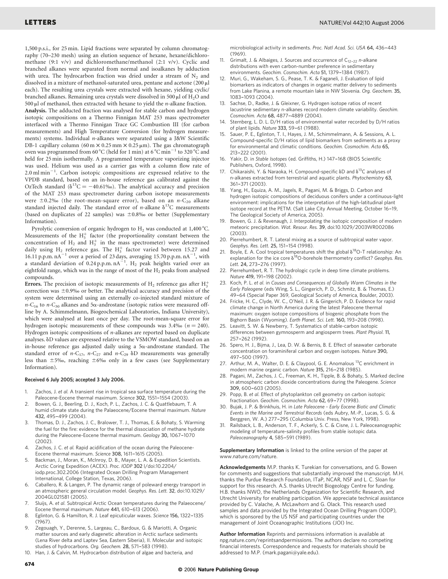1,500 p.s.i., for 25 min. Lipid fractions were separated by column chromatography (70–230 mesh) using an elution sequence of hexane, hexane/dichloromethane (9:1 v/v) and dichloromethane/methanol (2:1 v/v). Cyclic and branched alkanes were separated from normal and isoalkanes by adduction with urea. The hydrocarbon fraction was dried under a stream of  $N_2$  and dissolved in a mixture of methanol-saturated urea, pentane and acetone (200 µl each). The resulting urea crystals were extracted with hexane, yielding cyclic/ branched alkanes. Remaining urea crystals were dissolved in 500  $\mu$ l of H<sub>2</sub>O and 500  $\mu$ l of methanol, then extracted with hexane to yield the *n*-alkane fraction. Analysis. The adducted fraction was analysed for stable carbon and hydrogen isotopic compositions on a Thermo Finnigan MAT 253 mass spectrometer interfaced with a Thermo Finnigan Trace GC Combustion III (for carbon measurements) and High Temperature Conversion (for hydrogen measurements) systems. Individual n-alkanes were separated using a J&W Scientific DB-1 capillary column (60 m  $\times$  0.25 mm  $\times$  0.25  $\mu$ m). The gas chromatograph oven was programmed from 60 °C (held for 1 min) at 6 °C min<sup>-1</sup> to 320 °C and held for 25 min isothermally. A programmed temperature vaporizing injector was used. Helium was used as a carrier gas with a column flow rate of  $2.0 \text{ ml min}^{-1}$ . Carbon isotopic compositions are expressed relative to the VPDB standard, based on an in-house reference gas calibrated against the OzTech standard ( $\delta^{13}C = -40.61\%$ ). The analytical accuracy and precision of the MAT 253 mass spectrometer during carbon isotope measurements were  $\pm$ 0.2‰ (the root-mean-square error), based on an n-C<sub>20</sub> alkane standard injected daily. The standard error of *n*-alkane  $\delta^{13}$ C measurements (based on duplicates of 22 samples) was  $\pm 0.8\%$  or better (Supplementary Information).

Pyrolytic conversion of organic hydrogen to  $H_2$  was conducted at 1,400 °C. Measurements of the  $H_3^+$  factor (the proportionality constant between the concentration of  $H_2$  and  $H_3^+$  in the mass spectrometer) were determined daily using  $H_2$  reference gas. The  $H_3^+$  factor varied between 15.27 and 16.11 p.p.m.  $nA^{-1}$  over a period of 23 days, averaging 15.70 p.p.m.  $nA^{-1}$ , with a standard deviation of 0.24 p.p.m.  $nA^{-1}$ . H<sub>2</sub> peak heights varied over an eightfold range, which was in the range of most of the  $H_2$  peaks from analysed compounds.

Errors. The precision of isotopic measurements of  $H_2$  reference gas after  $H_3^+$ correction was  $\pm$ 0.9‰ or better. The analytical accuracy and precision of the system were determined using an externally co-injected standard mixture of  $n-C_{16}$  to  $n-C_{30}$  alkanes and 5 $\alpha$ -androstane (isotopic ratios were measured offline by A. Schimmelmann, Biogeochemical Laboratories, Indiana University), which were analysed at least once per day. The root-mean-square error for hydrogen isotopic measurements of these compounds was  $3.4\%$  ( $n = 240$ ). Hydrogen isotopic compositions of *n*-alkanes are reported based on duplicate analyses.  $\delta$ D values are expressed relative to the VSMOW standard, based on an in-house reference gas adjusted daily using a  $5\alpha$ -androstane standard. The standard error of  $n-C_{17}$ ,  $n-C_{27}$  and  $n-C_{29}$   $\delta D$  measurements was generally less than  $\pm 5%$ , reaching  $\pm 6%$  only in a few cases (see Supplementary Information).

## Received 6 July 2005; accepted 3 July 2006.

- 1. Zachos, J. et al. A transient rise in tropical sea surface temperature during the Paleocene-Eocene thermal maximum. Science 302, 1551–-1554 (2003).
- 2. Bowen, G. J., Beerling, D. J., Koch, P. L., Zachos, J. C. & Quattlebaum, T. A humid climate state during the Palaeocene/Eocene thermal maximum. Nature 432, 495–-499 (2004).
- 3. Thomas, D. J., Zachos, J. C., Bralower, T. J., Thomas, E. & Bohaty, S. Warming the fuel for the fire: evidence for the thermal dissociation of methane hydrate during the Paleocene-Eocene thermal maximum. Geology 30, 1067-1070 (2002).
- 4. Zachos, J. C. et al. Rapid acidification of the ocean during the Paleocene-Eocene thermal maximum. Science 308, 1611–-1615 (2005).
- 5. Backman, J., Moran, K., McInroy, D. B., Mayer, L. A. & Expedition Scientists. Arctic Coring Expedition (ACEX). Proc. IODP 302 l/doi:10.2204/ iodp.proc.302.2006 (Integrated Ocean Drilling Program Management International, College Station, Texas, 2006).
- 6. Caballero, R. & Langen, P. The dynamic range of poleward energy transport in an atmospheric general circulation model. Geophys. Res. Lett. 32, doi:10.1029/ 2004GL021581 (2005).
- 7. Sluijs, A. et al. Subtropical Arctic Ocean temperatures during the Palaeocene/ Eocene thermal maximum. Nature 441, 610-613 (2006).
- 8. Eglinton, G. & Hamilton, R. J. Leaf epicuticular waxes. Science 156, 1322-1335 (1967).
- 9. Zegouagh, Y., Derenne, S., Largeau, C., Bardoux, G. & Mariotti, A. Organic matter sources and early diagenetic alteration in Arctic surface sediments (Lena River delta and Laptev Sea, Eastern Siberia), II. Molecular and isotopic studies of hydrocarbons. Org. Geochem. 28, 571-583 (1998).
- 10. Han, J. & Calvin, M. Hydrocarbon distribution of algae and bacteria, and

microbiological activity in sediments. Proc. Natl Acad. Sci. USA 64, 436-443 (1969).

- 11. Grimalt, J. & Albaiges, J. Sources and occurrence of  $C_{12-22}$  n-alkane distributions with even carbon-number preference in sedimentary environments. Geochim. Cosmochim. Acta 51, 1379-1384 (1987).
- 12. Muri, G., Wakeham, S. G., Pease, T. K. & Faganeli, J. Evaluation of lipid biomarkers as indicators of changes in organic matter delivery to sediments from Lake Planina, a remote mountain lake in NW Slovenia. Org. Geochem. 35, 1083–-1093 (2004).
- Sachse, D., Radke, J. & Gleixner, G. Hydrogen isotope ratios of recent lacustrine sedimentary n-alkanes record modern climate variability. Geochim. Cosmochim. Acta 68, 4877-4889 (2004).
- Sternberg, L. D. L. D/H ratios of environmental water recorded by D/H ratios of plant lipids. Nature 333, 59-61 (1988).
- 15. Sauer, P. E., Eglinton, T. I., Hayes, J. M., Schimmelmann, A. & Sessions, A. L. Compound-specific D/H ratios of lipid biomarkers from sediments as a proxy for environmental and climatic conditions. Geochim. Cosmochim. Acta 65, 213–-222 (2001).
- 16. Yakir, D. in Stable Isotopes (ed. Griffiths, H.) 147-168 (BIOS Scientific Publishers, Oxford, 1998).
- Chikaraishi, Y. & Naraoka, H. Compound-specific  $\delta D$  and  $\delta^{13}C$  analyses of n-alkanes extracted from terrestrial and aquatic plants. Phytochemistry 63,  $361 - 371 (2003)$ .
- 18. Yang, H., Equiza, A. M., Jagels, R., Pagani, M. & Briggs, D. Carbon and hydrogen isotopic compositions of deciduous conifers under a continuous-light environment: implications for the interpretation of the high-latitudinal plant isotope record at the PETM. (Salt Lake City Annual Meeting, October 16-19, The Geological Society of America, 2005).
- Bowen, G. J. & Revenaugh, J. Interpolating the isotopic composition of modern meteoric precipitation. Wat. Resour. Res. 39, doi:10.1029/2003WR002086 (2003).
- 20. Pierrehumbert, R. T. Lateral mixing as a source of subtropical water vapor. Geophys. Res. Lett. 25, 151-154 (1998).
- 21. Boyle, E. A. Cool tropical temperatures shift the global  $\delta^{18}$ O-T relationship: An explanation for the ice core  $\delta^{18}$ O-borehole thermometry conflict? Geophys. Res. Lett. 24, 273-276 (1997).
- 22. Pierrehumbert, R. T. The hydrologic cycle in deep time climate problems. Nature 419, 191-198 (2002).
- 23. Koch, P. L. et al. in Causes and Consequences of Globally Warm Climates in the Early Paleogene (eds Wing, S. L., Gingerich, P. D., Schmitz, B. & Thomas, E.) 49-64 (Special Paper 369, Geological Society of America, Boulder, 2003).
- 24. Fricke, H. C., Clyde, W. C., O'Neil, J. R. & Gingerich, P. D. Evidence for rapid climate change in North America during the latest Paleocene thermal maximum: oxygen isotope compositions of biogenic phosphate from the Bighorn Basin (Wyoming). Earth Planet. Sci. Lett. 160, 193-208 (1998).
- 25. Leavitt, S. W. & Newberry, T. Systematics of stable-carbon isotopic differences between gymnosperm and angiosperm trees. Plant Physiol. 11, 257–262 (1992).
- 26. Spero, H. J., Bijma, J., Lea, D. W. & Bernis, B. E. Effect of seawater carbonate concentration on foraminiferal carbon and oxygen isotopes. Nature 390, 497–500 (1997).
- 27. Arthur, M. A., Walter, D. E. & Claypool, G. E. Anomalous<sup>13</sup>C enrichment in modern marine organic carbon. Nature 315, 216-218 (1985).
- 28. Pagani, M., Zachos, J. C., Freeman, K. H., Tipple, B. & Bohaty, S. Marked decline in atmospheric carbon dioxide concentrations during the Paleogene. Science 309, 600-603 (2005).
- 29. Popp, B. et al. Effect of phytoplankton cell geometry on carbon isotopic fractionation. Geochim. Cosmochim. Acta 62, 69-77 (1998).
- 30. Bujak, J. P. & Brinkhuis, H. in Late Paleocene Early Eocene Biotic and Climatic Events in the Marine and Terrestrial Records (eds Aubry, M.-P., Lucas, S. G. & Berggren, W. A.) 277-295 (Columbia Univ. Press, New York, 1998).
- 31. Railsback, L. B., Anderson, T. F., Ackerly, S. C. & Cisne, J. L. Paleoceanographic modeling of temperature-salinity profiles from stable isotopic data. Paleoceanography 4, 585-591 (1989).

Supplementary Information is linked to the online version of the paper at www.nature.com/nature.

Acknowledgements M.P. thanks K. Turekian for conversations, and G. Bowen for comments and suggestions that substantially improved the manuscript. M.H. thanks the Purdue Research Foundation, ITaP, NCAR, NSF and L. C. Sloan for support for this research. A.S. thanks Utrecht Biogeology Centre for funding. H.B. thanks NWO, the Netherlands Organization for Scientific Research, and Utrecht University for enabling participation. We appreciate technical assistance provided by C. Valache, A. McLawhorn and G. Olack. This research used samples and data provided by the Integrated Ocean Drilling Program (IODP), which is sponsored by the US NSF and participating countries under the management of Joint Oceanographic Institutions (JOI) Inc.

Author Information Reprints and permissions information is available at npg.nature.com/reprintsandpermissions. The authors declare no competing financial interests. Correspondence and requests for materials should be addressed to M.P. (mark.pagani@yale.edu).